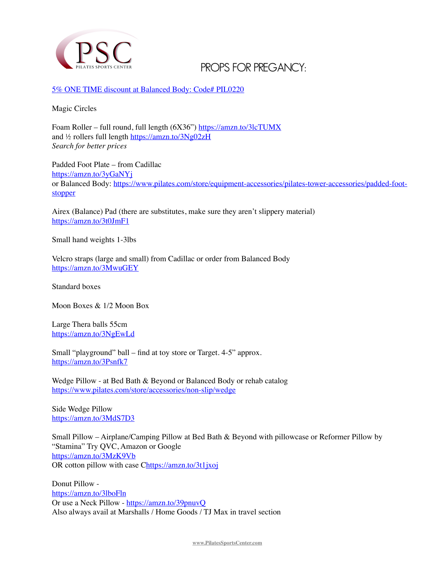

## **PROPS FOR PREGANCY:**

[5% ONE TIME discount at Balanced Body: Code# PIL0220](http://www.pilatessportscenter.com/)

Magic Circles

Foam Roller – full round, full length (6X36")<https://amzn.to/3lcTUMX> and ½ rollers full length <https://amzn.to/3Ng02zH> *Search for better prices*

Padded Foot Plate – from Cadillac <https://amzn.to/3yGaNYj> or Balanced Body: [https://www.pilates.com/store/equipment-accessories/pilates-tower-accessories/padded-foot](https://www.pilates.com/store/equipment-accessories/pilates-tower-accessories/padded-foot-stopper)[stopper](https://www.pilates.com/store/equipment-accessories/pilates-tower-accessories/padded-foot-stopper)

Airex (Balance) Pad (there are substitutes, make sure they aren't slippery material) <https://amzn.to/3t0JmF1>

Small hand weights 1-3lbs

Velcro straps (large and small) from Cadillac or order from Balanced Body <https://amzn.to/3MwuGEY>

Standard boxes

Moon Boxes & 1/2 Moon Box

Large Thera balls 55cm <https://amzn.to/3NgEwLd>

Small "playground" ball – find at toy store or Target. 4-5" approx. <https://amzn.to/3Psnfk7>

Wedge Pillow - at Bed Bath & Beyond or Balanced Body or rehab catalog <https://www.pilates.com/store/accessories/non-slip/wedge>

Side Wedge Pillow <https://amzn.to/3MdS7D3>

Small Pillow – Airplane/Camping Pillow at Bed Bath & Beyond with pillowcase or Reformer Pillow by "Stamina" Try QVC, Amazon or Google <https://amzn.to/3MzK9Vb> OR cotton pillow with case [Chttps://amzn.to/3t1jxoj](https://amzn.to/3t1jxoj)

Donut Pillow <https://amzn.to/3lboFln> Or use a Neck Pillow -<https://amzn.to/39pnuvQ> Also always avail at Marshalls / Home Goods / TJ Max in travel section